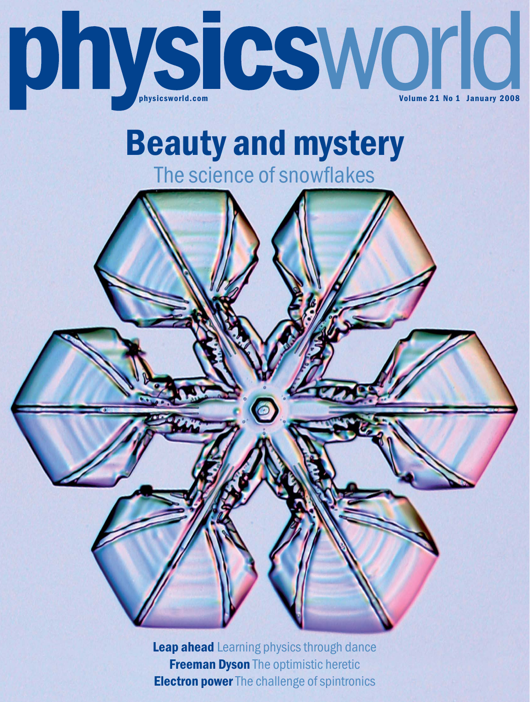

# Beauty and mystery The science of snowflakes

Leap ahead Learning physics through dance **Freeman Dyson The optimistic heretic Electron power** The challenge of spintronics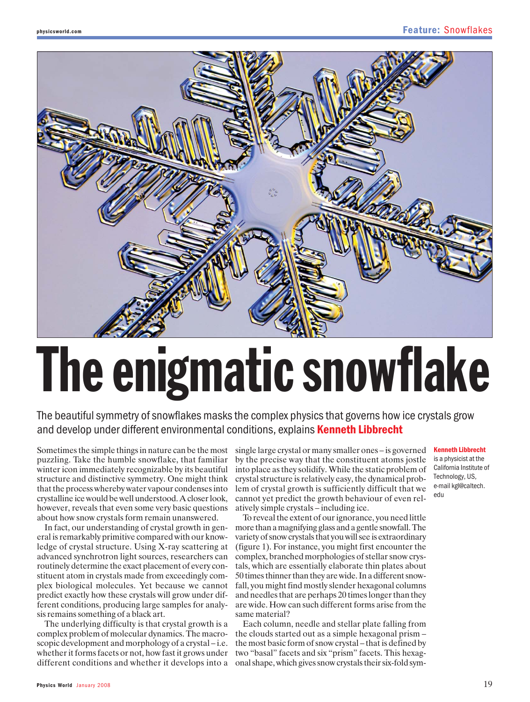

# The enigmatic snowflake

The beautiful symmetry of snowflakes masks the complex physics that governs how ice crystals grow and develop under different environmental conditions, explains **Kenneth Libbrecht** 

Sometimes the simple things in nature can be the most puzzling. Take the humble snowflake, that familiar winter icon immediately recognizable by its beautiful structure and distinctive symmetry. One might think that the process whereby water vapour condenses into crystalline ice would be well understood. A closer look, however, reveals that even some very basic questions about how snow crystals form remain unanswered.

In fact, our understanding of crystal growth in general is remarkably primitive compared with our knowledge of crystal structure. Using X-ray scattering at advanced synchrotron light sources, researchers can routinely determine the exact placement of every constituent atom in crystals made from exceedingly complex biological molecules. Yet because we cannot predict exactly how these crystals will grow under different conditions, producing large samples for analysis remains something of a black art.

The underlying difficulty is that crystal growth is a complex problem of molecular dynamics. The macroscopic development and morphology of a crystal – i.e. whether it forms facets or not, how fast it grows under different conditions and whether it develops into a

single large crystal or many smaller ones – is governed by the precise way that the constituent atoms jostle into place as they solidify. While the static problem of crystal structure is relatively easy, the dynamical problem of crystal growth is sufficiently difficult that we cannot yet predict the growth behaviour of even relatively simple crystals – including ice.

To reveal the extent of our ignorance, you need little more than a magnifying glass and a gentle snowfall. The variety of snow crystals that you will see is extraordinary (figure 1). For instance, you might first encounter the complex, branched morphologies of stellar snow crystals, which are essentially elaborate thin plates about 50 times thinner than they are wide. In a different snowfall, you might find mostly slender hexagonal columns and needles that are perhaps 20 times longer than they are wide. How can such different forms arise from the same material?

Each column, needle and stellar plate falling from the clouds started out as a simple hexagonal prism – the most basic form of snow crystal – that is defined by two "basal" facets and six "prism" facets. This hexagonal shape, which gives snow crystals their six-fold sym-

### Kenneth Libbrecht

is a physicist at the California Institute of Technology, US, e-mail kgl@caltech. edu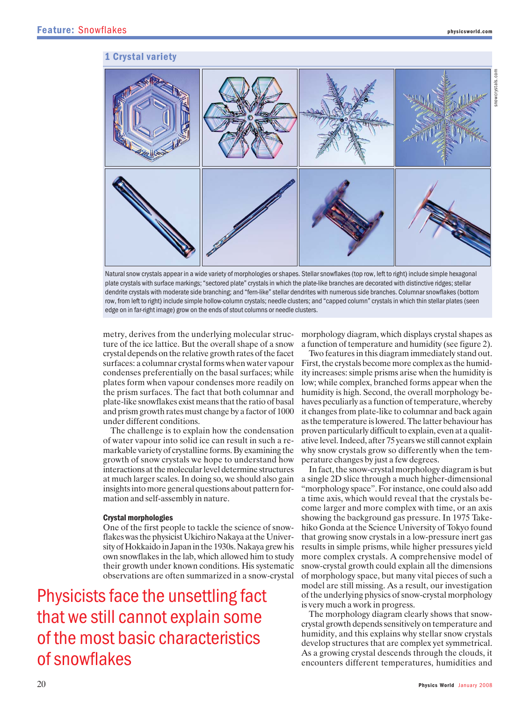# 1 Crystal variety



Natural snow crystals appear in a wide variety of morphologies or shapes. Stellar snowflakes (top row, left to right) include simple hexagonal plate crystals with surface markings; "sectored plate" crystals in which the plate-like branches are decorated with distinctive ridges; stellar dendrite crystals with moderate side branching; and "fern-like" stellar dendrites with numerous side branches. Columnar snowflakes (bottom row, from left to right) include simple hollow-column crystals; needle clusters; and "capped column" crystals in which thin stellar plates (seen edge on in far-right image) grow on the ends of stout columns or needle clusters.

metry, derives from the underlying molecular structure of the ice lattice. But the overall shape of a snow crystal depends on the relative growth rates of the facet surfaces: a columnar crystal forms when water vapour condenses preferentially on the basal surfaces; while plates form when vapour condenses more readily on the prism surfaces. The fact that both columnar and plate-like snowflakes exist means that the ratio of basal and prism growth rates must change by a factor of 1000 under different conditions.

The challenge is to explain how the condensation of water vapour into solid ice can result in such a remarkable variety of crystalline forms. By examining the growth of snow crystals we hope to understand how interactions at the molecular level determine structures at much larger scales. In doing so, we should also gain insights into more general questions about pattern formation and self-assembly in nature.

### Crystal morphologies

One of the first people to tackle the science of snowflakes was the physicist Ukichiro Nakaya at the University of Hokkaido in Japan in the 1930s. Nakaya grew his own snowflakes in the lab, which allowed him to study their growth under known conditions. His systematic observations are often summarized in a snow-crystal

Physicists face the unsettling fact that we still cannot explain some of the most basic characteristics of snowflakes

morphology diagram, which displays crystal shapes as a function of temperature and humidity (see figure 2).

Two features in this diagram immediately stand out. First, the crystals become more complex as the humidity increases: simple prisms arise when the humidity is low; while complex, branched forms appear when the humidity is high. Second, the overall morphology behaves peculiarly as a function of temperature, whereby it changes from plate-like to columnar and back again as the temperature is lowered. The latter behaviour has proven particularly difficult to explain, even at a qualitative level. Indeed, after 75 years we still cannot explain why snow crystals grow so differently when the temperature changes by just a few degrees.

In fact, the snow-crystal morphology diagram is but a single 2D slice through a much higher-dimensional "morphology space". For instance, one could also add a time axis, which would reveal that the crystals become larger and more complex with time, or an axis showing the background gas pressure. In 1975 Takehiko Gonda at the Science University of Tokyo found that growing snow crystals in a low-pressure inert gas results in simple prisms, while higher pressures yield more complex crystals. A comprehensive model of snow-crystal growth could explain all the dimensions of morphology space, but many vital pieces of such a model are still missing. As a result, our investigation of the underlying physics of snow-crystal morphology is very much a work in progress.

The morphology diagram clearly shows that snowcrystal growth depends sensitively on temperature and humidity, and this explains why stellar snow crystals develop structures that are complex yet symmetrical. As a growing crystal descends through the clouds, it encounters different temperatures, humidities and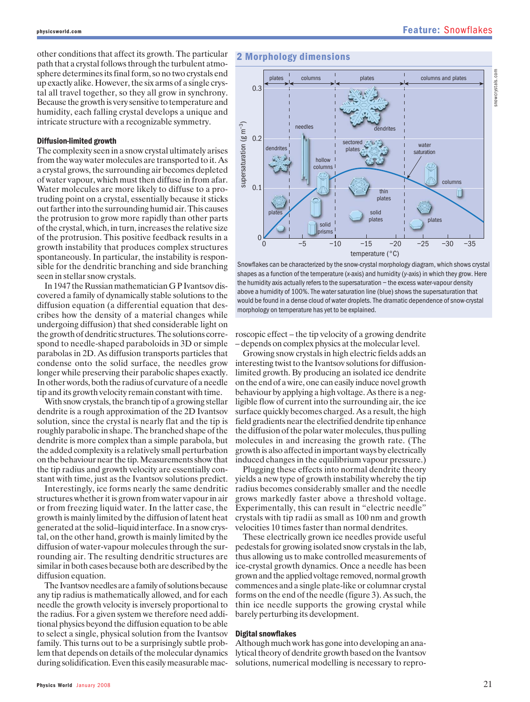other conditions that affect its growth. The particular path that a crystal follows through the turbulent atmosphere determines its final form, so no two crystals end up exactly alike. However, the six arms of a single crystal all travel together, so they all grow in synchrony. Because the growth is very sensitive to temperature and humidity, each falling crystal develops a unique and intricate structure with a recognizable symmetry.

### Diffusion-limited growth

The complexity seen in a snow crystal ultimately arises from the way water molecules are transported to it. As a crystal grows, the surrounding air becomes depleted of water vapour, which must then diffuse in from afar. Water molecules are more likely to diffuse to a protruding point on a crystal, essentially because it sticks out farther into the surrounding humid air. This causes the protrusion to grow more rapidly than other parts of the crystal, which, in turn, increases the relative size of the protrusion. This positive feedback results in a growth instability that produces complex structures spontaneously. In particular, the instability is responsible for the dendritic branching and side branching seen in stellar snow crystals.

In 1947 the Russian mathematician G P Ivantsov discovered a family of dynamically stable solutions to the diffusion equation (a differential equation that describes how the density of a material changes while undergoing diffusion) that shed considerable light on the growth of dendritic structures. The solutions correspond to needle-shaped paraboloids in 3D or simple parabolas in 2D. As diffusion transports particles that condense onto the solid surface, the needles grow longer while preserving their parabolic shapes exactly. In other words, both the radius of curvature of a needle tip and its growth velocity remain constant with time.

With snow crystals, the branch tip of a growing stellar dendrite is a rough approximation of the 2D Ivantsov solution, since the crystal is nearly flat and the tip is roughly parabolic in shape. The branched shape of the dendrite is more complex than a simple parabola, but the added complexity is a relatively small perturbation on the behaviour near the tip. Measurements show that the tip radius and growth velocity are essentially constant with time, just as the Ivantsov solutions predict.

Interestingly, ice forms nearly the same dendritic structures whether it is grown from water vapour in air or from freezing liquid water. In the latter case, the growth is mainly limited by the diffusion of latent heat generated at the solid–liquid interface. In a snow crystal, on the other hand, growth is mainly limited by the diffusion of water-vapour molecules through the surrounding air. The resulting dendritic structures are similar in both cases because both are described by the diffusion equation.

The Ivantsov needles are a family of solutions because any tip radius is mathematically allowed, and for each needle the growth velocity is inversely proportional to the radius. For a given system we therefore need additional physics beyond the diffusion equation to be able to select a single, physical solution from the Ivantsov family. This turns out to be a surprisingly subtle problem that depends on details of the molecular dynamics during solidification. Even this easily measurable mac-



### 2 Morphology dimensions

Snowflakes can be characterized by the snow-crystal morphology diagram, which shows crystal shapes as a function of the temperature (*x*-axis) and humidity (*y*-axis) in which they grow. Here the humidity axis actually refers to the supersaturation – the excess water-vapour density above a humidity of 100%. The water saturation line (blue) shows the supersaturation that would be found in a dense cloud of water droplets. The dramatic dependence of snow-crystal morphology on temperature has yet to be explained.

roscopic effect – the tip velocity of a growing dendrite – depends on complex physics at the molecular level.

Growing snow crystals in high electric fields adds an interesting twist to the Ivantsov solutions for diffusionlimited growth. By producing an isolated ice dendrite on the end of a wire, one can easily induce novel growth behaviour by applying a high voltage. As there is a negligible flow of current into the surrounding air, the ice surface quickly becomes charged. As a result, the high field gradients near the electrified dendrite tip enhance the diffusion of the polar water molecules, thus pulling molecules in and increasing the growth rate. (The growth is also affected in important ways by electrically induced changes in the equilibrium vapour pressure.)

Plugging these effects into normal dendrite theory yields a new type of growth instability whereby the tip radius becomes considerably smaller and the needle grows markedly faster above a threshold voltage. Experimentally, this can result in "electric needle" crystals with tip radii as small as 100 nm and growth velocities 10 times faster than normal dendrites.

These electrically grown ice needles provide useful pedestals for growing isolated snow crystals in the lab, thus allowing us to make controlled measurements of ice-crystal growth dynamics. Once a needle has been grown and the applied voltage removed, normal growth commences and a single plate-like or columnar crystal forms on the end of the needle (figure 3). As such, the thin ice needle supports the growing crystal while barely perturbing its development.

### Digital snowflakes

Although much work has gone into developing an analytical theory of dendrite growth based on the Ivantsov solutions, numerical modelling is necessary to repro-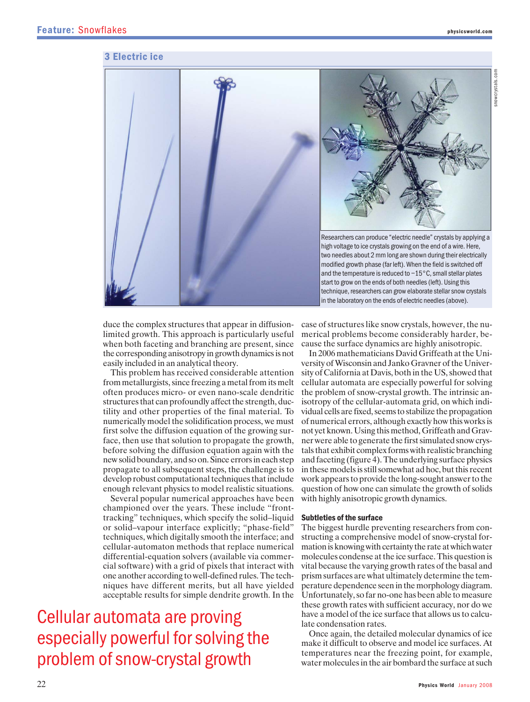## 3 Electric ice



duce the complex structures that appear in diffusionlimited growth. This approach is particularly useful when both faceting and branching are present, since the corresponding anisotropy in growth dynamics is not easily included in an analytical theory.

This problem has received considerable attention from metallurgists, since freezing a metal from its melt often produces micro- or even nano-scale dendritic structures that can profoundly affect the strength, ductility and other properties of the final material. To numerically model the solidification process, we must first solve the diffusion equation of the growing surface, then use that solution to propagate the growth, before solving the diffusion equation again with the new solid boundary, and so on. Since errors in each step propagate to all subsequent steps, the challenge is to develop robust computational techniques that include enough relevant physics to model realistic situations.

Several popular numerical approaches have been championed over the years. These include "fronttracking" techniques, which specify the solid–liquid or solid–vapour interface explicitly; "phase-field" techniques, which digitally smooth the interface; and cellular-automaton methods that replace numerical differential-equation solvers (available via commercial software) with a grid of pixels that interact with one another according to well-defined rules. The techniques have different merits, but all have yielded acceptable results for simple dendrite growth. In the

Cellular automata are proving especially powerful for solving the problem of snow-crystal growth

case of structures like snow crystals, however, the numerical problems become considerably harder, because the surface dynamics are highly anisotropic.

In 2006 mathematicians David Griffeath at the University of Wisconsin and Janko Gravner of the University of California at Davis, both in the US, showed that cellular automata are especially powerful for solving the problem of snow-crystal growth. The intrinsic anisotropy of the cellular-automata grid, on which individual cells are fixed, seems to stabilize the propagation of numerical errors, although exactly how this works is not yet known. Using this method, Griffeath and Gravner were able to generate the first simulated snow crystals that exhibit complex forms with realistic branching and faceting (figure 4). The underlying surface physics in these models is still somewhat ad hoc, but this recent work appears to provide the long-sought answer to the question of how one can simulate the growth of solids with highly anisotropic growth dynamics.

### Subtleties of the surface

The biggest hurdle preventing researchers from constructing a comprehensive model of snow-crystal formation is knowing with certainty the rate at which water molecules condense at the ice surface. This question is vital because the varying growth rates of the basal and prism surfaces are what ultimately determine the temperature dependence seen in the morphology diagram. Unfortunately, so far no-one has been able to measure these growth rates with sufficient accuracy, nor do we have a model of the ice surface that allows us to calculate condensation rates.

Once again, the detailed molecular dynamics of ice make it difficult to observe and model ice surfaces. At temperatures near the freezing point, for example, water molecules in the air bombard the surface at such